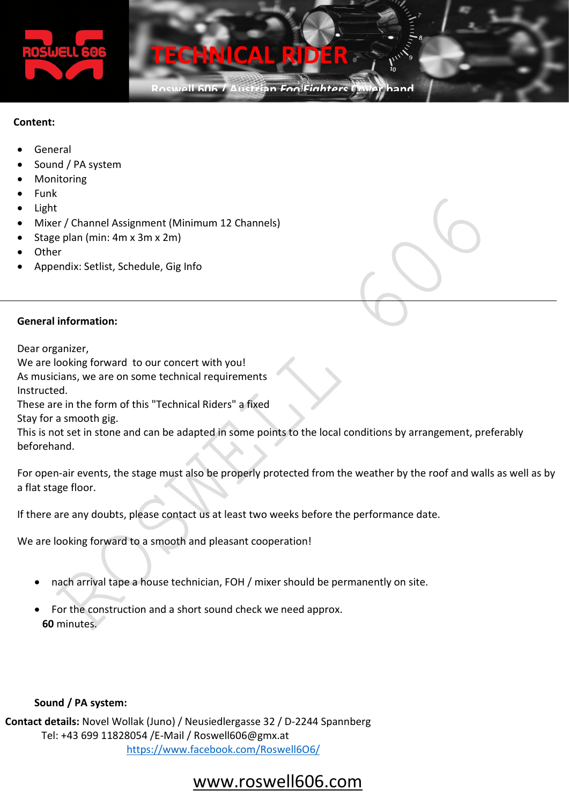

Roswell 606 / Austrian Foo Fighte

#### Content:

- General
- Sound / PA system
- Monitoring
- Funk
- Light
- Mixer / Channel Assignment (Minimum 12 Channels)
- Stage plan (min: 4m x 3m x 2m)
- **Other**
- Appendix: Setlist, Schedule, Gig Info

#### General information:

Dear organizer,

We are looking forward to our concert with you!

As musicians, we are on some technical requirements

Instructed.

These are in the form of this "Technical Riders" a fixed

Stay for a smooth gig.

This is not set in stone and can be adapted in some points to the local conditions by arrangement, preferably beforehand.

For open-air events, the stage must also be properly protected from the weather by the roof and walls as well as by a flat stage floor.

If there are any doubts, please contact us at least two weeks before the performance date.

We are looking forward to a smooth and pleasant cooperation!

- nach arrival tape a house technician, FOH / mixer should be permanently on site.
- For the construction and a short sound check we need approx. 60 minutes.

#### Sound / PA system:

 Contact details: Novel Wollak (Juno) / Neusiedlergasse 32 / D-2244 Spannberg Tel: +43 699 11828054 /E-Mail / Roswell606@gmx.at https://www.facebook.com/Roswell6O6/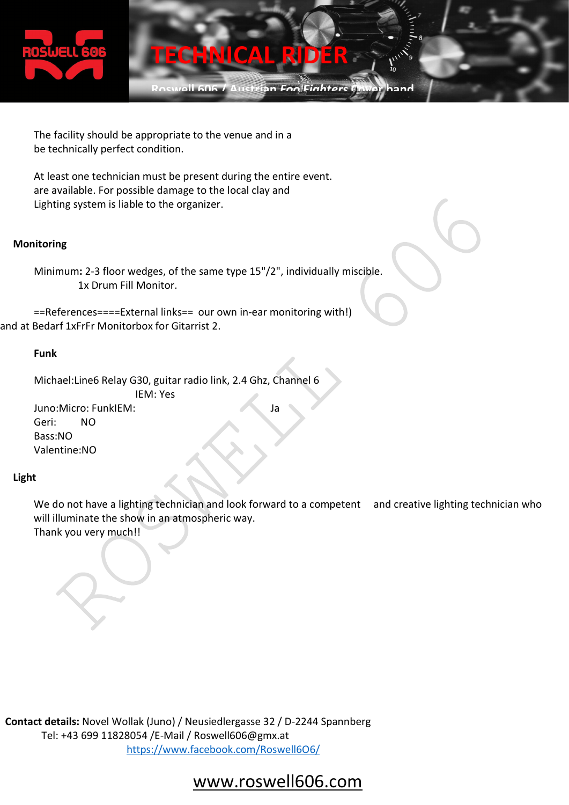

Roswell 606 / Austrian Foo Finhter

The facility should be appropriate to the venue and in a be technically perfect condition.

At least one technician must be present during the entire event. are available. For possible damage to the local clay and Lighting system is liable to the organizer.

#### Monitoring

Minimum: 2-3 floor wedges, of the same type 15"/2", individually miscible. 1x Drum Fill Monitor.

```
==References====External links== our own in-ear monitoring with!)
and at Bedarf 1xFrFr Monitorbox for Gitarrist 2.
```
#### Funk

Michael:Line6 Relay G30, guitar radio link, 2.4 Ghz, Channel 6 IEM: Yes Juno:Micro: FunkIEM: Ja Geri: NO Bass:NO Valentine:NO

#### Light

We do not have a lighting technician and look forward to a competent and creative lighting technician who will illuminate the show in an atmospheric way. Thank you very much!!

 Contact details: Novel Wollak (Juno) / Neusiedlergasse 32 / D-2244 Spannberg Tel: +43 699 11828054 /E-Mail / Roswell606@gmx.at https://www.facebook.com/Roswell6O6/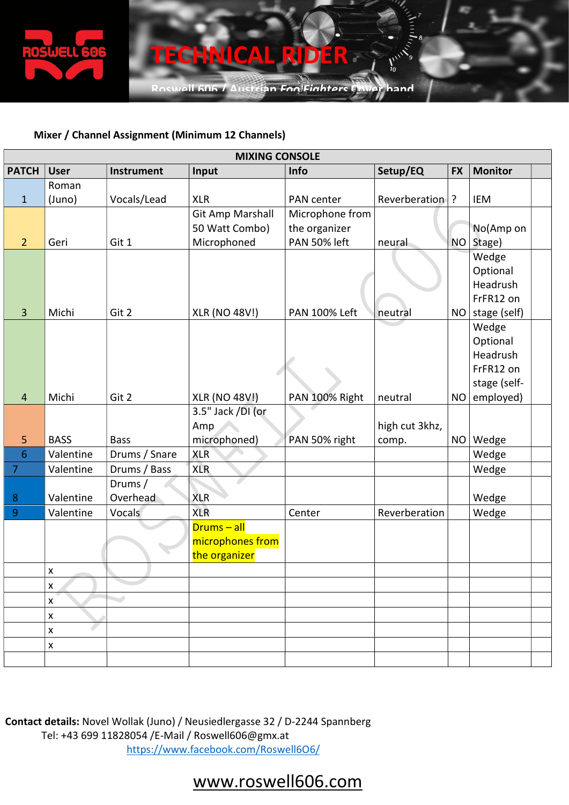

Roswell 606 / Austrian FoolFinhters Caver hand

#### Mixer / Channel Assignment (Minimum 12 Channels)

| <b>MIXING CONSOLE</b> |                    |                   |                      |                      |                |           |                      |  |
|-----------------------|--------------------|-------------------|----------------------|----------------------|----------------|-----------|----------------------|--|
| <b>PATCH</b>          | <b>User</b>        | <b>Instrument</b> | Input                | Info                 | Setup/EQ       | <b>FX</b> | <b>Monitor</b>       |  |
|                       | Roman              |                   |                      |                      |                |           |                      |  |
| $\mathbf{1}$          | (Juno)             | Vocals/Lead       | <b>XLR</b>           | PAN center           | Reverberation  | ?         | IEM                  |  |
|                       |                    |                   | Git Amp Marshall     | Microphone from      |                |           |                      |  |
|                       |                    |                   | 50 Watt Combo)       | the organizer        |                |           | No(Amp on            |  |
| $\overline{2}$        | Geri               | Git 1             | Microphoned          | PAN 50% left         | neural         | NO        | Stage)               |  |
|                       |                    |                   |                      |                      |                |           | Wedge                |  |
|                       |                    |                   |                      |                      |                |           | Optional             |  |
|                       |                    |                   |                      |                      |                |           | Headrush             |  |
|                       |                    |                   |                      |                      |                |           | FrFR12 on            |  |
| 3                     | Michi              | Git 2             | <b>XLR (NO 48V!)</b> | <b>PAN 100% Left</b> | neutral        | <b>NO</b> | stage (self)         |  |
|                       |                    |                   |                      |                      |                |           | Wedge                |  |
|                       |                    |                   |                      |                      |                |           | Optional<br>Headrush |  |
|                       |                    |                   |                      |                      |                |           | FrFR12 on            |  |
|                       |                    |                   |                      |                      |                |           | stage (self-         |  |
| $\overline{4}$        | Michi              | Git 2             | <b>XLR (NO 48V!)</b> | PAN 100% Right       | neutral        | <b>NO</b> | employed)            |  |
|                       |                    |                   | 3.5" Jack /DI (or    |                      |                |           |                      |  |
|                       |                    |                   | Amp                  |                      | high cut 3khz, |           |                      |  |
| 5                     | <b>BASS</b>        | <b>Bass</b>       | microphoned)         | PAN 50% right        | comp.          | <b>NO</b> | Wedge                |  |
| 6                     | Valentine          | Drums / Snare     | <b>XLR</b>           |                      |                |           | Wedge                |  |
| $\overline{7}$        | Valentine          | Drums / Bass      | <b>XLR</b>           |                      |                |           | Wedge                |  |
|                       |                    | Drums/            |                      |                      |                |           |                      |  |
| 8                     | Valentine          | Overhead          | <b>XLR</b>           |                      |                |           | Wedge                |  |
| 9                     | Valentine          | Vocals            | <b>XLR</b>           | Center               | Reverberation  |           | Wedge                |  |
|                       |                    |                   | $Drums - all$        |                      |                |           |                      |  |
|                       |                    |                   | microphones from     |                      |                |           |                      |  |
|                       |                    |                   | the organizer        |                      |                |           |                      |  |
|                       | $\pmb{\mathsf{x}}$ |                   |                      |                      |                |           |                      |  |
|                       | X                  |                   |                      |                      |                |           |                      |  |
|                       | X                  |                   |                      |                      |                |           |                      |  |
|                       | $\pmb{\times}$     |                   |                      |                      |                |           |                      |  |
|                       | X                  |                   |                      |                      |                |           |                      |  |
|                       | X                  |                   |                      |                      |                |           |                      |  |
|                       |                    |                   |                      |                      |                |           |                      |  |

 Contact details: Novel Wollak (Juno) / Neusiedlergasse 32 / D-2244 Spannberg Tel: +43 699 11828054 /E-Mail / Roswell606@gmx.at https://www.facebook.com/Roswell6O6/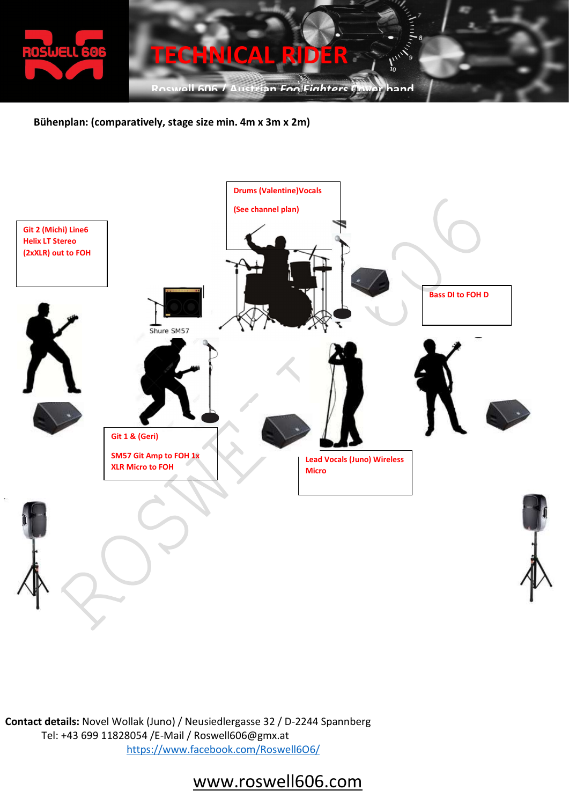

Bühenplan: (comparatively, stage size min. 4m x 3m x 2m)



 Contact details: Novel Wollak (Juno) / Neusiedlergasse 32 / D-2244 Spannberg Tel: +43 699 11828054 /E-Mail / Roswell606@gmx.at https://www.facebook.com/Roswell6O6/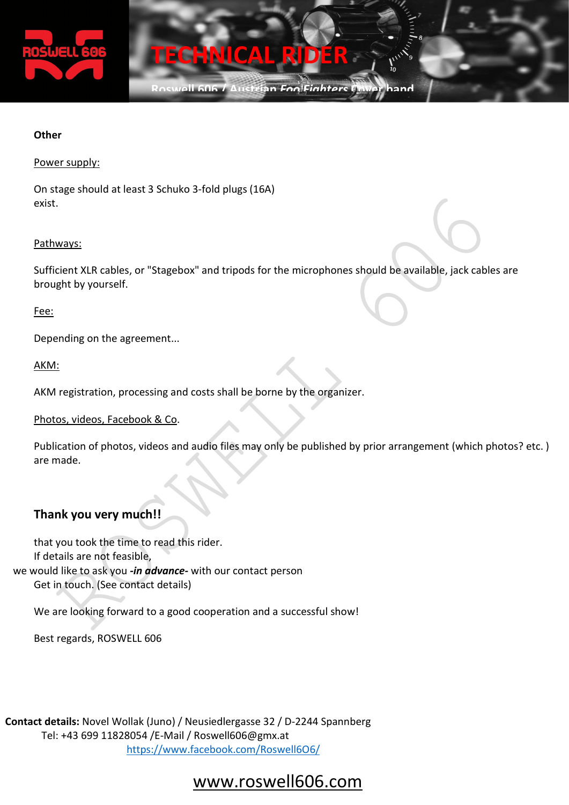

Roswell 606 / Austrian Foo Finhter

#### **Other**

#### Power supply:

On stage should at least 3 Schuko 3-fold plugs (16A) exist.

#### Pathways:

Sufficient XLR cables, or "Stagebox" and tripods for the microphones should be available, jack cables are brought by yourself.

Fee:

Depending on the agreement...

#### AKM:

AKM registration, processing and costs shall be borne by the organizer.

#### Photos, videos, Facebook & Co.

Publication of photos, videos and audio files may only be published by prior arrangement (which photos? etc. ) are made.

#### Thank you very much!!

that you took the time to read this rider. If details are not feasible, we would like to ask you -in advance- with our contact person Get in touch. (See contact details)

We are looking forward to a good cooperation and a successful show!

Best regards, ROSWELL 606

 Contact details: Novel Wollak (Juno) / Neusiedlergasse 32 / D-2244 Spannberg Tel: +43 699 11828054 /E-Mail / Roswell606@gmx.at https://www.facebook.com/Roswell6O6/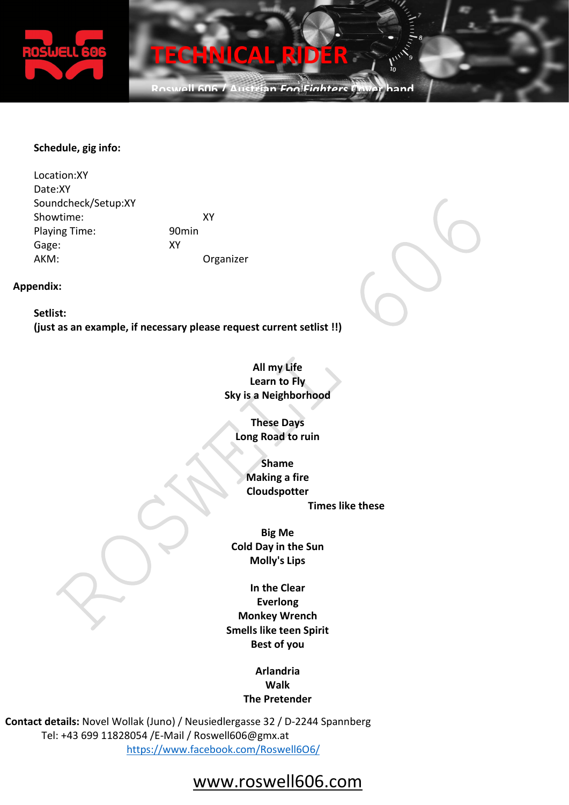

Roswell 606 / Austrian FoolFinhter

#### Schedule, gig info:

 Location:XY Date:XY Soundcheck/Setup:XY Showtime: XY Playing Time: 90min Gage: XY AKM: Organizer

#### Appendix:

Setlist: (just as an example, if necessary please request current setlist !!)



These Days Long Road to ruin

> Shame Making a fire Cloudspotter

Times like these

Big Me Cold Day in the Sun Molly's Lips

In the Clear Everlong Monkey Wrench Smells like teen Spirit Best of you

> Arlandria Walk The Pretender

 Contact details: Novel Wollak (Juno) / Neusiedlergasse 32 / D-2244 Spannberg Tel: +43 699 11828054 /E-Mail / Roswell606@gmx.at https://www.facebook.com/Roswell6O6/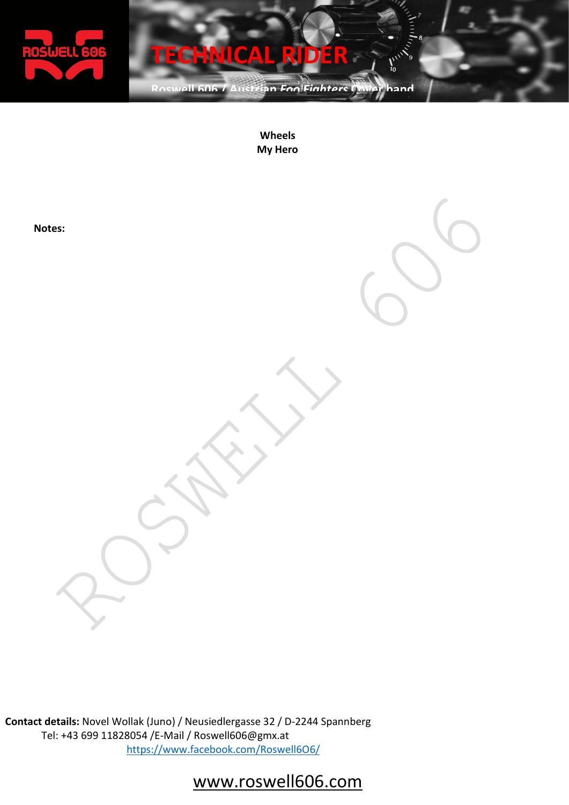

Roswell 606 / Austrian FoolFinhters Caver hand

Wheels My Hero

Notes:



i0

 Contact details: Novel Wollak (Juno) / Neusiedlergasse 32 / D-2244 Spannberg Tel: +43 699 11828054 /E-Mail / Roswell606@gmx.at https://www.facebook.com/Roswell6O6/